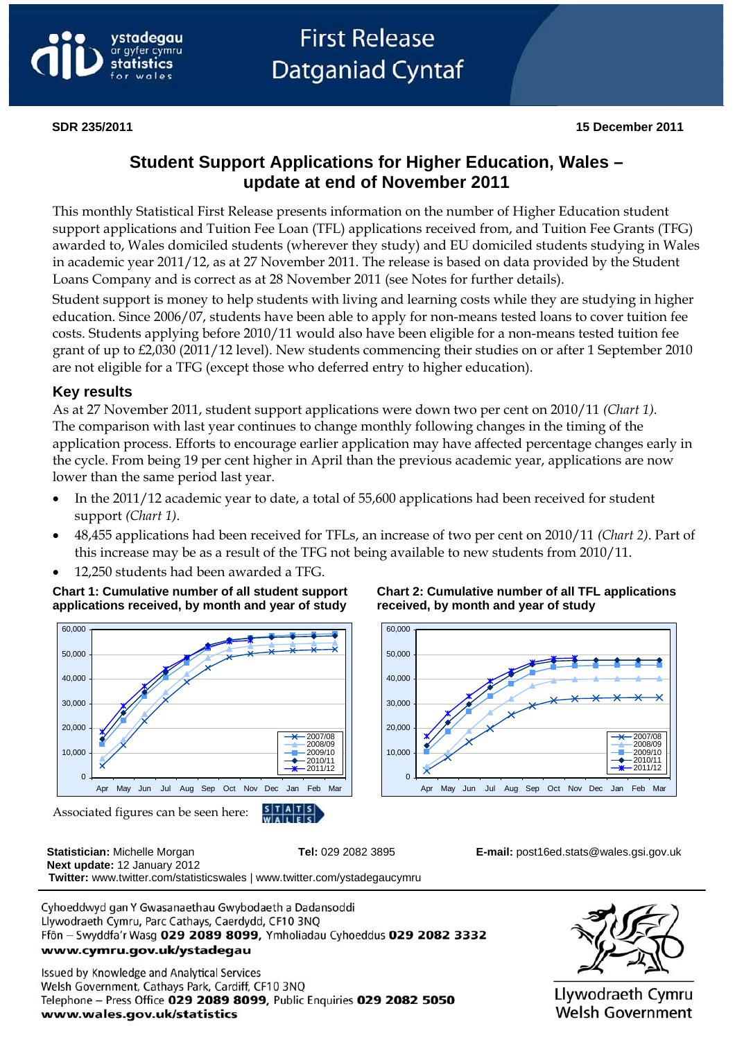

# **Student Support Applications for Higher Education, Wales – update at end of November 2011**

This monthly Statistical First Release presents information on the number of Higher Education student support applications and Tuition Fee Loan (TFL) applications received from, and Tuition Fee Grants (TFG) awarded to, Wales domiciled students (wherever they study) and EU domiciled students studying in Wales in academic year 2011/12, as at 27 November 2011. The release is based on data provided by the Student Loans Company and is correct as at 28 November 2011 (see Notes for further details).

Student support is money to help students with living and learning costs while they are studying in higher education. Since 2006/07, students have been able to apply for non-means tested loans to cover tuition fee costs. Students applying before 2010/11 would also have been eligible for a non-means tested tuition fee grant of up to £2,030 (2011/12 level). New students commencing their studies on or after 1 September 2010 are not eligible for a TFG (except those who deferred entry to higher education).

#### **Key results**

As at 27 November 2011, student support applications were down two per cent on 2010/11 *(Chart 1).*  The comparison with last year continues to change monthly following changes in the timing of the application process. Efforts to encourage earlier application may have affected percentage changes early in the cycle. From being 19 per cent higher in April than the previous academic year, applications are now lower than the same period last year.

- In the 2011/12 academic year to date, a total of 55,600 applications had been received for student support *(Chart 1)*.
- 48,455 applications had been received for TFLs, an increase of two per cent on 2010/11 *(Chart 2)*. Part of this increase may be as a result of the TFG not being available to new students from 2010/11.
- 12,250 students had been awarded a TFG.

**Chart 1: Cumulative number of all student support applications received, by month and year of study**



**Chart 2: Cumulative number of all TFL applications received, by month and year of study**



 **Statistician:** Michelle Morgan **Tel:** 029 2082 3895 **E-mail:** [post16ed.stats@wales.gsi.gov.uk](mailto:post16ed.stats@wales.gsi.gov.uk)  **Next update:** 12 January 2012  **Twitter:** www.twitter.com/statisticswales | www.twitter.com/ystadegaucymru

Cyhoeddwyd gan Y Gwasanaethau Gwybodaeth a Dadansoddi Llywodraeth Cymru, Parc Cathays, Caerdydd, CF10 3NQ Ffôn - Swyddfa'r Wasg 029 2089 8099, Ymholiadau Cyhoeddus 029 2082 3332 www.cymru.gov.uk/ystadegau

Issued by Knowledge and Analytical Services Welsh Government, Cathays Park, Cardiff, CF10 3NQ Telephone - Press Office 029 2089 8099, Public Enquiries 029 2082 5050 www.wales.gov.uk/statistics



Llywodraeth Cymru **Welsh Government**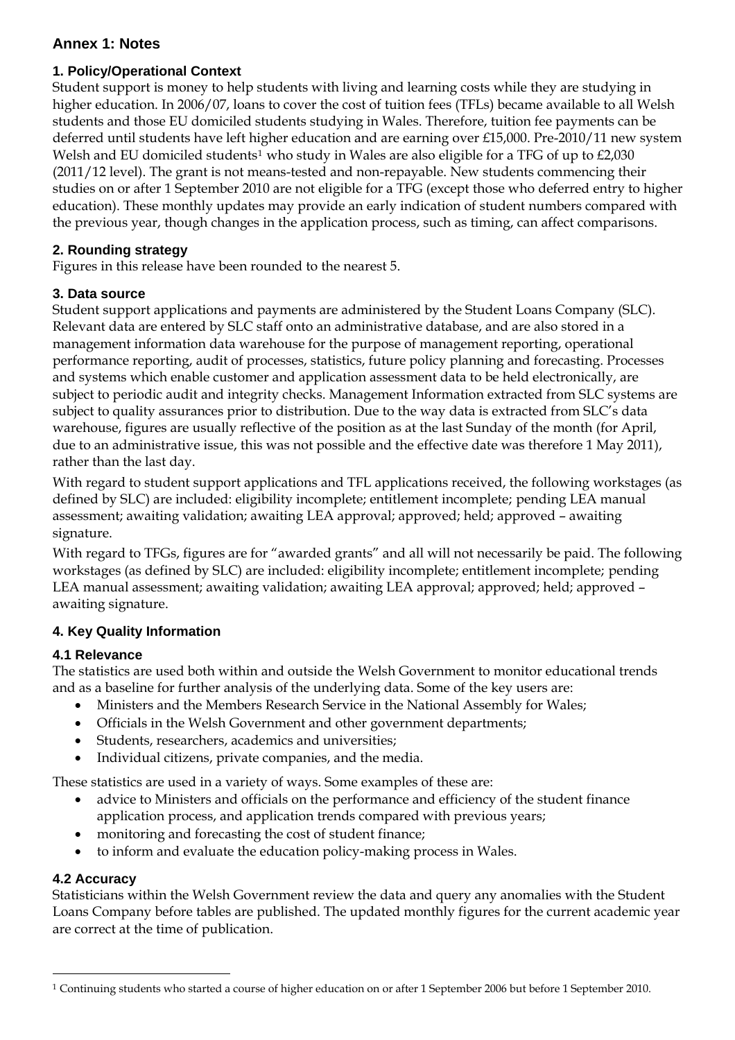# **Annex 1: Notes**

#### **1. Policy/Operational Context**

Student support is money to help students with living and learning costs while they are studying in higher education. In 2006/07, loans to cover the cost of tuition fees (TFLs) became available to all Welsh students and those EU domiciled students studying in Wales. Therefore, tuition fee payments can be deferred until students have left higher education and are earning over £15,000. Pre-2010/11 new system Welsh and EU domiciled students<sup>[1](#page-1-0)</sup> who study in Wales are also eligible for a TFG of up to £2,030 (2011/12 level). The grant is not means-tested and non-repayable. New students commencing their studies on or after 1 September 2010 are not eligible for a TFG (except those who deferred entry to higher education). These monthly updates may provide an early indication of student numbers compared with the previous year, though changes in the application process, such as timing, can affect comparisons.

# **2. Rounding strategy**

Figures in this release have been rounded to the nearest 5.

# **3. Data source**

Student support applications and payments are administered by the Student Loans Company (SLC). Relevant data are entered by SLC staff onto an administrative database, and are also stored in a management information data warehouse for the purpose of management reporting, operational performance reporting, audit of processes, statistics, future policy planning and forecasting. Processes and systems which enable customer and application assessment data to be held electronically, are subject to periodic audit and integrity checks. Management Information extracted from SLC systems are subject to quality assurances prior to distribution. Due to the way data is extracted from SLC's data warehouse, figures are usually reflective of the position as at the last Sunday of the month (for April, due to an administrative issue, this was not possible and the effective date was therefore 1 May 2011), rather than the last day.

With regard to student support applications and TFL applications received, the following workstages (as defined by SLC) are included: eligibility incomplete; entitlement incomplete; pending LEA manual assessment; awaiting validation; awaiting LEA approval; approved; held; approved – awaiting signature.

With regard to TFGs, figures are for "awarded grants" and all will not necessarily be paid. The following workstages (as defined by SLC) are included: eligibility incomplete; entitlement incomplete; pending LEA manual assessment; awaiting validation; awaiting LEA approval; approved; held; approved – awaiting signature.

# **4. Key Quality Information**

# **4.1 Relevance**

The statistics are used both within and outside the Welsh Government to monitor educational trends and as a baseline for further analysis of the underlying data. Some of the key users are:

- Ministers and the Members Research Service in the National Assembly for Wales;
- Officials in the Welsh Government and other government departments;
- Students, researchers, academics and universities;
- Individual citizens, private companies, and the media.

These statistics are used in a variety of ways. Some examples of these are:

- advice to Ministers and officials on the performance and efficiency of the student finance application process, and application trends compared with previous years;
- monitoring and forecasting the cost of student finance;
- to inform and evaluate the education policy-making process in Wales.

#### **4.2 Accuracy**

 $\overline{a}$ 

Statisticians within the Welsh Government review the data and query any anomalies with the Student Loans Company before tables are published. The updated monthly figures for the current academic year are correct at the time of publication.

<span id="page-1-0"></span><sup>1</sup> Continuing students who started a course of higher education on or after 1 September 2006 but before 1 September 2010.